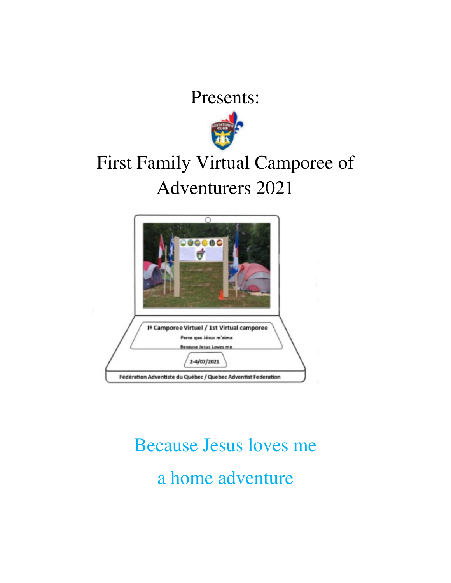Presents:



## First Family Virtual Camporee of Adventurers 2021



# Because Jesus loves me a home adventure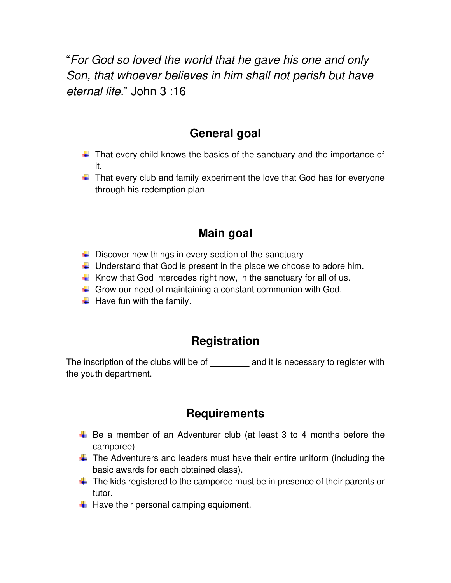"For God so loved the world that he gave his one and only Son, that whoever believes in him shall not perish but have eternal life." John 3 :16

## **General goal**

- $\ddot{\phantom{1}}$  That every child knows the basics of the sanctuary and the importance of it.
- $\ddot$  That every club and family experiment the love that God has for everyone through his redemption plan

## **Main goal**

- $\downarrow$  Discover new things in every section of the sanctuary
- $\ddot$  Understand that God is present in the place we choose to adore him.
- $\ddot{+}$  Know that God intercedes right now, in the sanctuary for all of us.
- $\downarrow$  Grow our need of maintaining a constant communion with God.
- $\ddot{\bullet}$  Have fun with the family.

## **Registration**

The inscription of the clubs will be of and it is necessary to register with the youth department.

## **Requirements**

- $\overline{\phantom{a}+}$  Be a member of an Adventurer club (at least 3 to 4 months before the camporee)
- $\ddot{\text{+}}$  The Adventurers and leaders must have their entire uniform (including the basic awards for each obtained class).
- $\downarrow$  The kids registered to the camporee must be in presence of their parents or tutor.
- $\bigstar$  Have their personal camping equipment.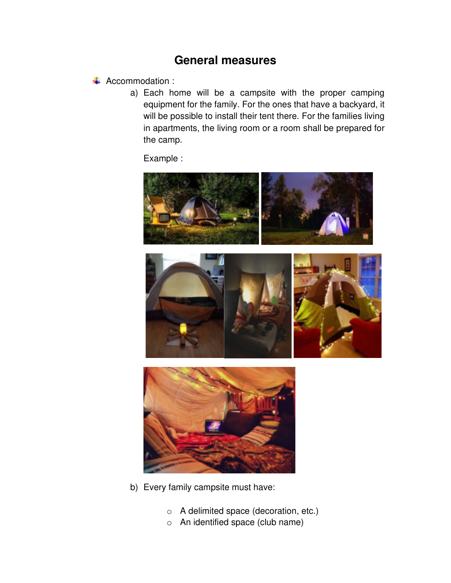## **General measures**

#### **↓** Accommodation :

a) Each home will be a campsite with the proper camping equipment for the family. For the ones that have a backyard, it will be possible to install their tent there. For the families living in apartments, the living room or a room shall be prepared for the camp.

Example :



- b) Every family campsite must have:
	- o A delimited space (decoration, etc.)
	- o An identified space (club name)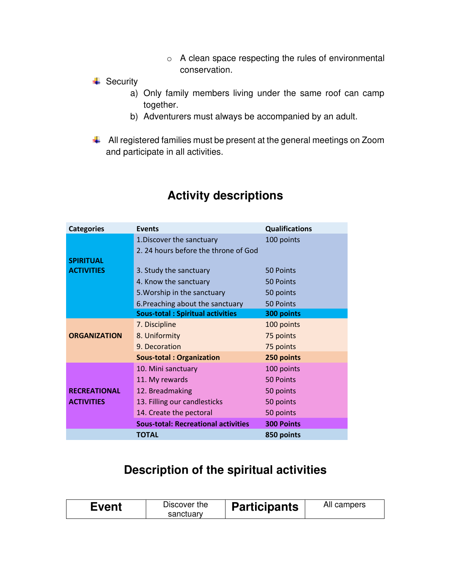o A clean space respecting the rules of environmental conservation.

#### $\overline{\phantom{a}}$  Security

- a) Only family members living under the same roof can camp together.
- b) Adventurers must always be accompanied by an adult.
- All registered families must be present at the general meetings on Zoom and participate in all activities.

| <b>Categories</b>   | <b>Events</b>                              | <b>Qualifications</b> |
|---------------------|--------------------------------------------|-----------------------|
|                     | 1. Discover the sanctuary                  | 100 points            |
|                     | 2.24 hours before the throne of God        |                       |
| <b>SPIRITUAL</b>    |                                            |                       |
| <b>ACTIVITIES</b>   | 3. Study the sanctuary                     | 50 Points             |
|                     | 4. Know the sanctuary                      | 50 Points             |
|                     | 5. Worship in the sanctuary                | 50 points             |
|                     | 6. Preaching about the sanctuary           | 50 Points             |
|                     | <b>Sous-total: Spiritual activities</b>    | 300 points            |
|                     | 7. Discipline                              | 100 points            |
| <b>ORGANIZATION</b> | 8. Uniformity                              | 75 points             |
|                     | 9. Decoration                              | 75 points             |
|                     | <b>Sous-total: Organization</b>            | 250 points            |
|                     | 10. Mini sanctuary                         | 100 points            |
|                     | 11. My rewards                             | 50 Points             |
| <b>RECREATIONAL</b> | 12. Breadmaking                            | 50 points             |
| <b>ACTIVITIES</b>   | 13. Filling our candlesticks               | 50 points             |
|                     | 14. Create the pectoral                    | 50 points             |
|                     | <b>Sous-total: Recreational activities</b> | <b>300 Points</b>     |
|                     | <b>TOTAL</b>                               | 850 points            |

## **Activity descriptions**

## **Description of the spiritual activities**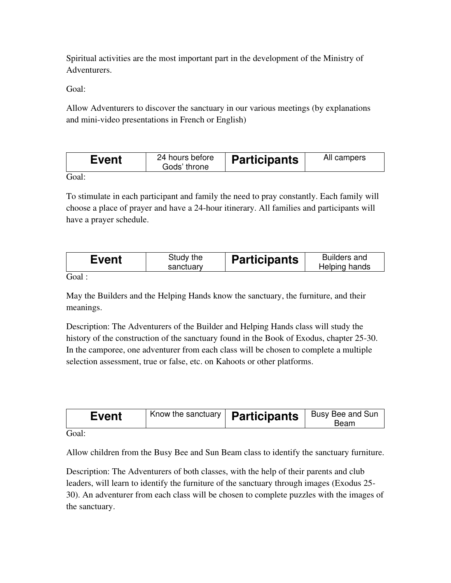Spiritual activities are the most important part in the development of the Ministry of Adventurers.

Goal:

Allow Adventurers to discover the sanctuary in our various meetings (by explanations and mini-video presentations in French or English)

| Event | 24 hours before<br>Gods' throne | <b>Participants</b> | All campers |
|-------|---------------------------------|---------------------|-------------|
|       |                                 |                     |             |

Goal:

To stimulate in each participant and family the need to pray constantly. Each family will choose a place of prayer and have a 24-hour itinerary. All families and participants will have a prayer schedule.

|--|

Goal :

May the Builders and the Helping Hands know the sanctuary, the furniture, and their meanings.

Description: The Adventurers of the Builder and Helping Hands class will study the history of the construction of the sanctuary found in the Book of Exodus, chapter 25-30. In the camporee, one adventurer from each class will be chosen to complete a multiple selection assessment, true or false, etc. on Kahoots or other platforms.

| <b>Event</b>        | $\vert$ Know the sanctuary <b>Participants</b> | Busy Bee and Sun<br>Beam |
|---------------------|------------------------------------------------|--------------------------|
| $C_{\alpha\alpha}1$ |                                                |                          |

Cioal:

Allow children from the Busy Bee and Sun Beam class to identify the sanctuary furniture.

Description: The Adventurers of both classes, with the help of their parents and club leaders, will learn to identify the furniture of the sanctuary through images (Exodus 25- 30). An adventurer from each class will be chosen to complete puzzles with the images of the sanctuary.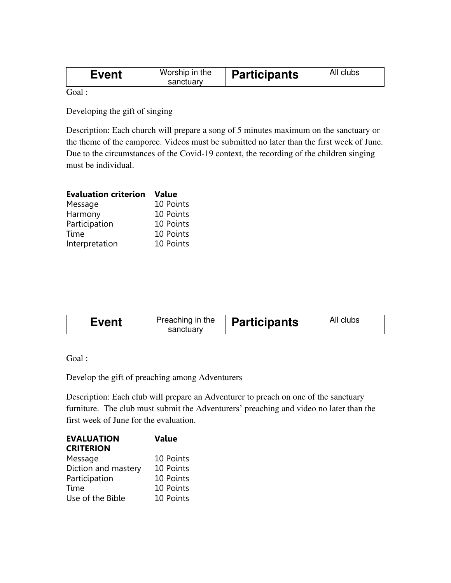| Worship in the<br>All clubs<br><b>Participants</b><br>Event<br>sanctuary |
|--------------------------------------------------------------------------|
|--------------------------------------------------------------------------|

Goal :

Developing the gift of singing

Description: Each church will prepare a song of 5 minutes maximum on the sanctuary or the theme of the camporee. Videos must be submitted no later than the first week of June. Due to the circumstances of the Covid-19 context, the recording of the children singing must be individual.

| <b>Evaluation criterion</b> | Value     |
|-----------------------------|-----------|
| Message                     | 10 Points |
| Harmony                     | 10 Points |
| Participation               | 10 Points |
| Time                        | 10 Points |
| Interpretation              | 10 Points |

| Preaching in the<br>All clubs<br><b>Participants</b><br>Event |           |  |
|---------------------------------------------------------------|-----------|--|
|                                                               | sanctuary |  |

Goal :

Develop the gift of preaching among Adventurers

Description: Each club will prepare an Adventurer to preach on one of the sanctuary furniture. The club must submit the Adventurers' preaching and video no later than the first week of June for the evaluation.

| <b>EVALUATION</b>   | <b>Value</b> |
|---------------------|--------------|
| <b>CRITERION</b>    |              |
| Message             | 10 Points    |
| Diction and mastery | 10 Points    |
| Participation       | 10 Points    |
| Time                | 10 Points    |
| Use of the Bible    | 10 Points    |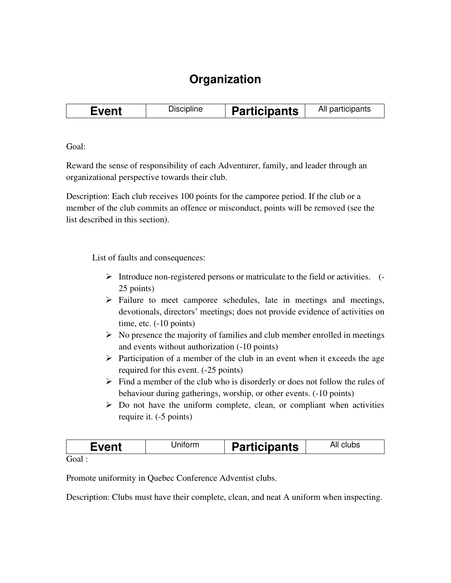## **Organization**

|  | Event | Discipline | <b>Participants</b> | All participants |
|--|-------|------------|---------------------|------------------|
|--|-------|------------|---------------------|------------------|

Goal:

Reward the sense of responsibility of each Adventurer, family, and leader through an organizational perspective towards their club.

Description: Each club receives 100 points for the camporee period. If the club or a member of the club commits an offence or misconduct, points will be removed (see the list described in this section).

List of faults and consequences:

- $\triangleright$  Introduce non-registered persons or matriculate to the field or activities. (-25 points)
- ➢ Failure to meet camporee schedules, late in meetings and meetings, devotionals, directors' meetings; does not provide evidence of activities on time, etc. (-10 points)
- $\triangleright$  No presence the majority of families and club member enrolled in meetings and events without authorization (-10 points)
- $\triangleright$  Participation of a member of the club in an event when it exceeds the age required for this event. (-25 points)
- $\triangleright$  Find a member of the club who is disorderly or does not follow the rules of behaviour during gatherings, worship, or other events. (-10 points)
- $\triangleright$  Do not have the uniform complete, clean, or compliant when activities require it. (-5 points)

| Event | Jnıtorm | <b>Participants</b> | All clubs |
|-------|---------|---------------------|-----------|
| Goal  |         |                     |           |

Promote uniformity in Quebec Conference Adventist clubs.

Description: Clubs must have their complete, clean, and neat A uniform when inspecting.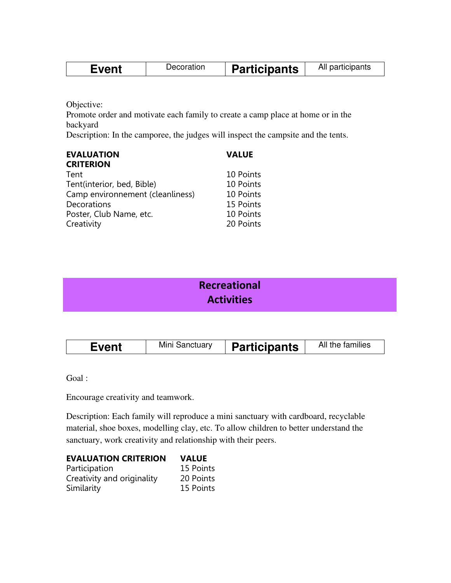| ∙vent<br>venu | Decoration | <b>Participants</b> | All participants |
|---------------|------------|---------------------|------------------|
|               |            |                     |                  |

Objective:

Promote order and motivate each family to create a camp place at home or in the backyard

Description: In the camporee, the judges will inspect the campsite and the tents.

| <b>EVALUATION</b><br><b>CRITERION</b> | <b>VALUE</b> |
|---------------------------------------|--------------|
| Tent                                  | 10 Points    |
| Tent(interior, bed, Bible)            | 10 Points    |
| Camp environnement (cleanliness)      | 10 Points    |
| Decorations                           | 15 Points    |
| Poster, Club Name, etc.               | 10 Points    |
| Creativity                            | 20 Points    |

| Recreational      |
|-------------------|
| <b>Activities</b> |
|                   |

| Event | Mini Sanctuary | <b>Participants</b> | All the families |
|-------|----------------|---------------------|------------------|
|-------|----------------|---------------------|------------------|

Goal :

Encourage creativity and teamwork.

Description: Each family will reproduce a mini sanctuary with cardboard, recyclable material, shoe boxes, modelling clay, etc. To allow children to better understand the sanctuary, work creativity and relationship with their peers.

#### **EVALUATION CRITERION VALUE**

| Participation              | 15 Points |
|----------------------------|-----------|
| Creativity and originality | 20 Points |
| Similarity                 | 15 Points |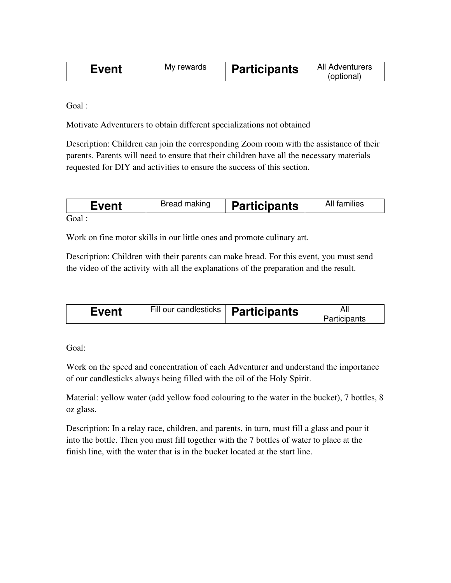| Event | My rewards | <b>Participants</b> | All Adventurers<br>(optional) |
|-------|------------|---------------------|-------------------------------|
|-------|------------|---------------------|-------------------------------|

Goal :

Motivate Adventurers to obtain different specializations not obtained

Description: Children can join the corresponding Zoom room with the assistance of their parents. Parents will need to ensure that their children have all the necessary materials requested for DIY and activities to ensure the success of this section.

| Event   | Bread making | <b>Participants</b> | All families |
|---------|--------------|---------------------|--------------|
| $G_{Q}$ |              |                     |              |

Goal :

Work on fine motor skills in our little ones and promote culinary art.

Description: Children with their parents can make bread. For this event, you must send the video of the activity with all the explanations of the preparation and the result.

Goal:

Work on the speed and concentration of each Adventurer and understand the importance of our candlesticks always being filled with the oil of the Holy Spirit.

Material: yellow water (add yellow food colouring to the water in the bucket), 7 bottles, 8 oz glass.

Description: In a relay race, children, and parents, in turn, must fill a glass and pour it into the bottle. Then you must fill together with the 7 bottles of water to place at the finish line, with the water that is in the bucket located at the start line.